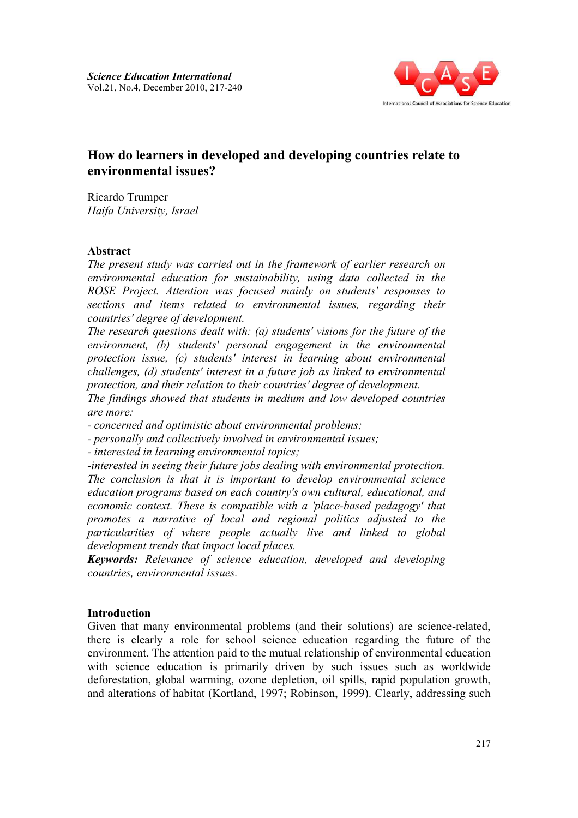

# **How do learners in developed and developing countries relate to learners developed ssues?environmental issues?**

Ricardo Trumper *Haifa University, Israel*

#### **Abstract**

*The present study was carried out in the framework of earlier research on environmental education for sustainability, using data collected in the ROSE Project. Attention was focused mainly on students' responses to sections and items related to environmental issues, regarding their countries' degree of development.*

*The research questions dealt with: (a) students' visions for the future of the environment, (b) students' personal engagement in the environmental protection issue, (c) students' interest in learning about environmental challenges, (d) students' interest in a future job as linked to environmental protection, and their relation to their countries' degree of development. study was carried out in the framework of earlier research on tal education for sustainability, using data collected in the ect. Attention was focused mainly on students' responses to d items related to environmental issu* 

*The findings showed that students in medium and l are more:*

*- concerned and optimistic about environmental problems;*

*- personally and collectively involved in environmental issues;*

*- interested in learning environmental topics;*

-interested in seeing their future jobs dealing with environmental protection. *The conclusion is that it is important to develop environmental science education programs based on each country's own cultural, educational, and*  education programs based on each country's own cultural, educational, and<br>economic context. These is compatible with a 'place-based pedagogy' that *promotes a narrative of local and regional politics adjusted to the particularities of where people actually live and linked to global development trends that impact local places.* promotes a narrative of local and regional politics adjusted to the<br>particularities of where people actually live and linked to global<br>development\_trends\_that\_impact\_local\_places.<br>**Keywords:** Relevance of science education *ow developed*<br>blems;<br>tal issues;<br>wironmental<br>environmen.<br>lltural, educa<br>ee-based pedd

 $countries, environmental issues.$ 

### **Introduction**

Given that many environmental problems (and their solutions) are science-related, there is clearly a role for school science education regarding the future of the Given that many environmental problems (and their solutions) are science-related, there is clearly a role for school science education regarding the future of the environment. The attention paid to the mutual relationship with science education is primarily driven by such issues such as worldwide deforestation, global warming, ozone depletion, oil spills, rapid population growth, and alterations of habitat (Kortland, 1997; Robinson, 1999). Clearly, a addressing such education is primarily driven by such issues s<br>global warming, ozone depletion, oil spills, rapid<br>of habitat (Kortland, 1997; Robinson, 1999). Clear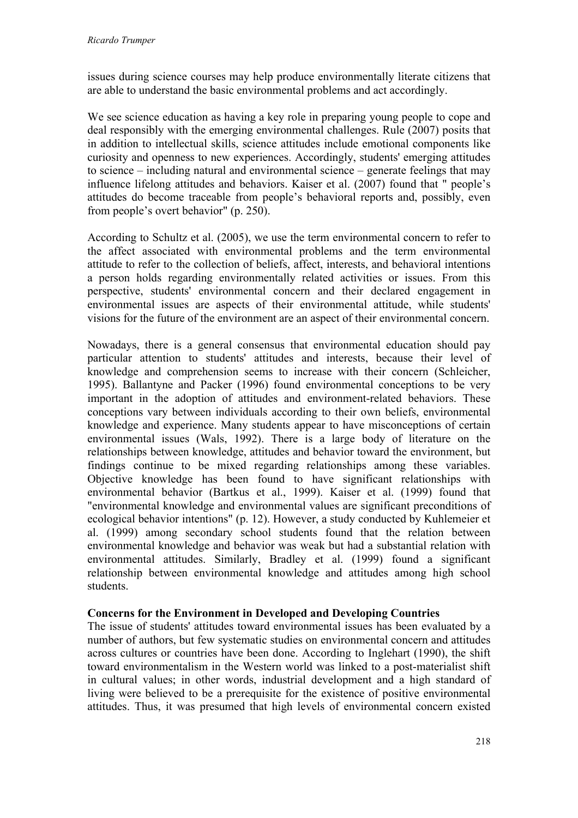issues during science courses may help produce environmentally literate citizens that are able to understand the basic environmental problems and act accordingly.

We see science education as having a key role in preparing young people to cope and deal responsibly with the emerging environmental challenges. Rule (2007) posits that in addition to intellectual skills, science attitudes include emotional components like curiosity and openness to new experiences. Accordingly, students' emerging attitudes to science – including natural and environmental science – generate feelings that may influence lifelong attitudes and behaviors. Kaiser et al. (2007) found that " people's attitudes do become traceable from people's behavioral reports and, possibly, even from people's overt behavior" (p. 250).

According to Schultz et al. (2005), we use the term environmental concern to refer to the affect associated with environmental problems and the term environmental attitude to refer to the collection of beliefs, affect, interests, and behavioral intentions a person holds regarding environmentally related activities or issues. From this perspective, students' environmental concern and their declared engagement in environmental issues are aspects of their environmental attitude, while students' visions for the future of the environment are an aspect of their environmental concern.

Nowadays, there is a general consensus that environmental education should pay particular attention to students' attitudes and interests, because their level of knowledge and comprehension seems to increase with their concern (Schleicher, 1995). Ballantyne and Packer (1996) found environmental conceptions to be very important in the adoption of attitudes and environment-related behaviors. These conceptions vary between individuals according to their own beliefs, environmental knowledge and experience. Many students appear to have misconceptions of certain environmental issues (Wals, 1992). There is a large body of literature on the relationships between knowledge, attitudes and behavior toward the environment, but findings continue to be mixed regarding relationships among these variables. Objective knowledge has been found to have significant relationships with environmental behavior (Bartkus et al., 1999). Kaiser et al. (1999) found that "environmental knowledge and environmental values are significant preconditions of ecological behavior intentions" (p. 12). However, a study conducted by Kuhlemeier et al. (1999) among secondary school students found that the relation between environmental knowledge and behavior was weak but had a substantial relation with environmental attitudes. Similarly, Bradley et al. (1999) found a significant relationship between environmental knowledge and attitudes among high school students.

#### **Concerns for the Environment in Developed and Developing Countries**

The issue of students' attitudes toward environmental issues has been evaluated by a number of authors, but few systematic studies on environmental concern and attitudes across cultures or countries have been done. According to Inglehart (1990), the shift toward environmentalism in the Western world was linked to a post-materialist shift in cultural values; in other words, industrial development and a high standard of living were believed to be a prerequisite for the existence of positive environmental attitudes. Thus, it was presumed that high levels of environmental concern existed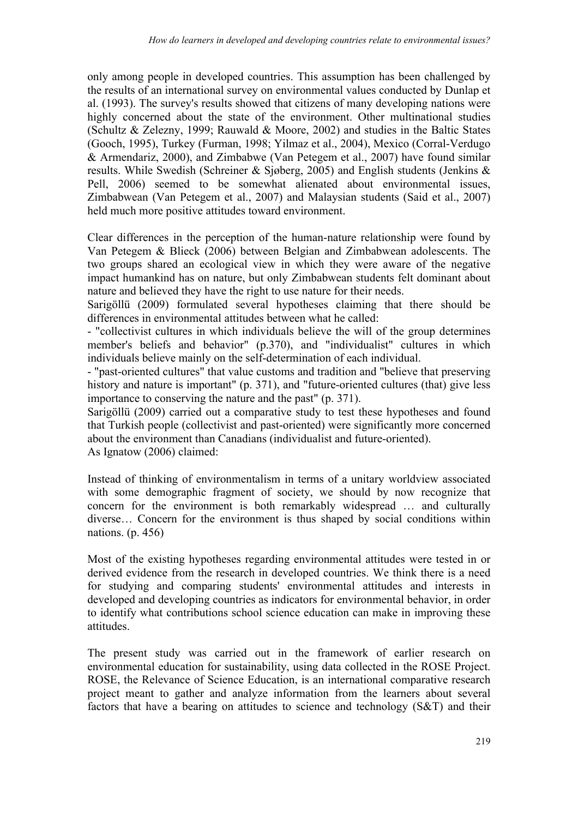only among people in developed countries. This assumption has been challenged by the results of an international survey on environmental values conducted by Dunlap et al. (1993). The survey's results showed that citizens of many developing nations were highly concerned about the state of the environment. Other multinational studies (Schultz & Zelezny, 1999; Rauwald & Moore, 2002) and studies in the Baltic States (Gooch, 1995), Turkey (Furman, 1998; Yilmaz et al., 2004), Mexico (Corral-Verdugo & Armendariz, 2000), and Zimbabwe (Van Petegem et al., 2007) have found similar results. While Swedish (Schreiner & Sjøberg, 2005) and English students (Jenkins  $\&$ Pell, 2006) seemed to be somewhat alienated about environmental issues, Zimbabwean (Van Petegem et al., 2007) and Malaysian students (Said et al., 2007) held much more positive attitudes toward environment.

Clear differences in the perception of the human-nature relationship were found by Van Petegem & Blieck (2006) between Belgian and Zimbabwean adolescents. The two groups shared an ecological view in which they were aware of the negative impact humankind has on nature, but only Zimbabwean students felt dominant about nature and believed they have the right to use nature for their needs.

Sarigöllü (2009) formulated several hypotheses claiming that there should be differences in environmental attitudes between what he called:

- "collectivist cultures in which individuals believe the will of the group determines member's beliefs and behavior" (p.370), and "individualist" cultures in which individuals believe mainly on the self-determination of each individual.

- "past-oriented cultures" that value customs and tradition and "believe that preserving history and nature is important" (p. 371), and "future-oriented cultures (that) give less importance to conserving the nature and the past" (p. 371).

Sarigöllü (2009) carried out a comparative study to test these hypotheses and found that Turkish people (collectivist and past-oriented) were significantly more concerned about the environment than Canadians (individualist and future-oriented).

As Ignatow (2006) claimed:

Instead of thinking of environmentalism in terms of a unitary worldview associated with some demographic fragment of society, we should by now recognize that concern for the environment is both remarkably widespread … and culturally diverse… Concern for the environment is thus shaped by social conditions within nations. (p. 456)

Most of the existing hypotheses regarding environmental attitudes were tested in or derived evidence from the research in developed countries. We think there is a need for studying and comparing students' environmental attitudes and interests in developed and developing countries as indicators for environmental behavior, in order to identify what contributions school science education can make in improving these attitudes.

The present study was carried out in the framework of earlier research on environmental education for sustainability, using data collected in the ROSE Project. ROSE, the Relevance of Science Education, is an international comparative research project meant to gather and analyze information from the learners about several factors that have a bearing on attitudes to science and technology (S&T) and their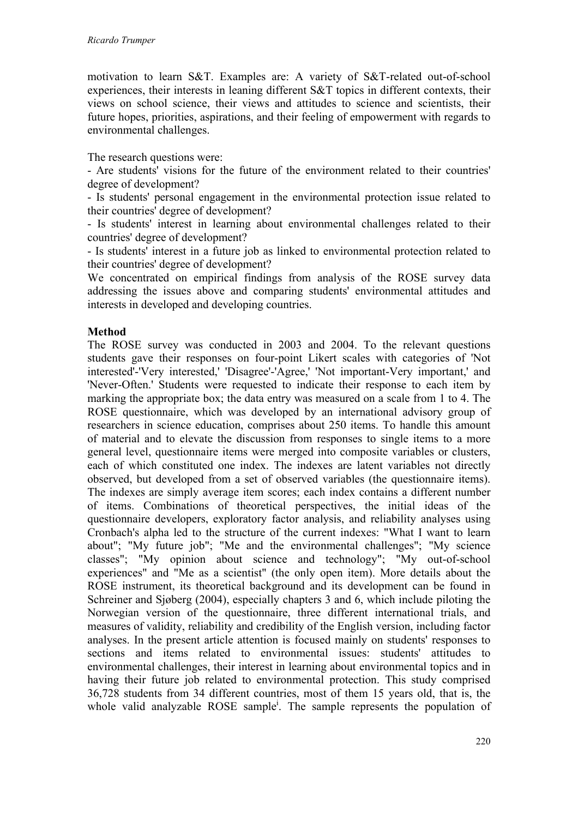motivation to learn S&T. Examples are: A variety of S&T-related out-of-school experiences, their interests in leaning different S&T topics in different contexts, their views on school science, their views and attitudes to science and scientists, their future hopes, priorities, aspirations, and their feeling of empowerment with regards to environmental challenges.

#### The research questions were:

- Are students' visions for the future of the environment related to their countries' degree of development?

- Is students' personal engagement in the environmental protection issue related to their countries' degree of development?

- Is students' interest in learning about environmental challenges related to their countries' degree of development?

- Is students' interest in a future job as linked to environmental protection related to their countries' degree of development?

We concentrated on empirical findings from analysis of the ROSE survey data addressing the issues above and comparing students' environmental attitudes and interests in developed and developing countries.

#### **Method**

The ROSE survey was conducted in 2003 and 2004. To the relevant questions students gave their responses on four-point Likert scales with categories of 'Not interested'-'Very interested,' 'Disagree'-'Agree,' 'Not important-Very important,' and 'Never-Often.' Students were requested to indicate their response to each item by marking the appropriate box; the data entry was measured on a scale from 1 to 4. The ROSE questionnaire, which was developed by an international advisory group of researchers in science education, comprises about 250 items. To handle this amount of material and to elevate the discussion from responses to single items to a more general level, questionnaire items were merged into composite variables or clusters, each of which constituted one index. The indexes are latent variables not directly observed, but developed from a set of observed variables (the questionnaire items). The indexes are simply average item scores; each index contains a different number of items. Combinations of theoretical perspectives, the initial ideas of the questionnaire developers, exploratory factor analysis, and reliability analyses using Cronbach's alpha led to the structure of the current indexes: "What I want to learn about"; "My future job"; "Me and the environmental challenges"; "My science classes"; "My opinion about science and technology"; "My out-of-school experiences" and "Me as a scientist" (the only open item). More details about the ROSE instrument, its theoretical background and its development can be found in Schreiner and Sjøberg (2004), especially chapters 3 and 6, which include piloting the Norwegian version of the questionnaire, three different international trials, and measures of validity, reliability and credibility of the English version, including factor analyses. In the present article attention is focused mainly on students' responses to sections and items related to environmental issues: students' attitudes to environmental challenges, their interest in learning about environmental topics and in having their future job related to environmental protection. This study comprised 36,728 students from 34 different countries, most of them 15 years old, that is, the whole valid analyzable ROSE sample<sup>i</sup>. The sample represents the population of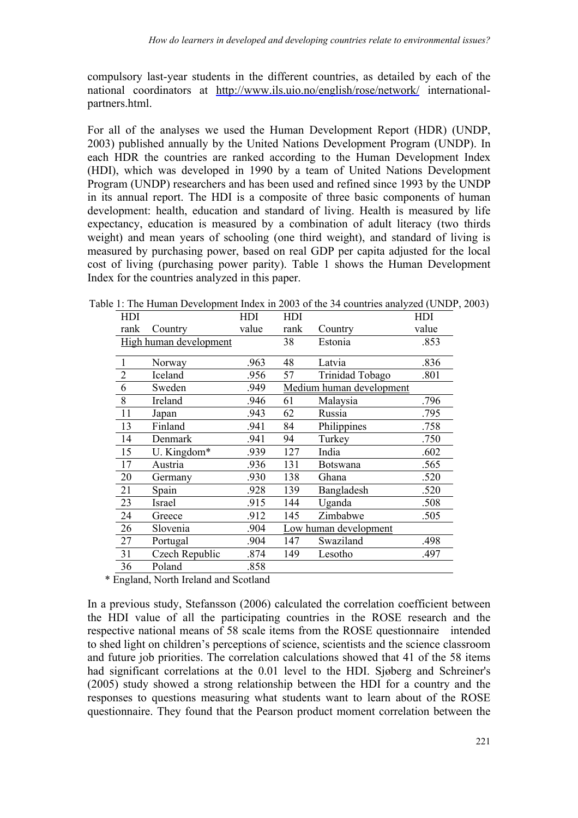compulsory last-year students in the different countries, as detailed by each of the national coordinators at <http://www.ils.uio.no/english/rose/network/> internationalpartners.html.

For all of the analyses we used the Human Development Report (HDR) (UNDP, 2003) published annually by the United Nations Development Program (UNDP). In each HDR the countries are ranked according to the Human Development Index (HDI), which was developed in 1990 by a team of United Nations Development Program (UNDP) researchers and has been used and refined since 1993 by the UNDP in its annual report. The HDI is a composite of three basic components of human development: health, education and standard of living. Health is measured by life expectancy, education is measured by a combination of adult literacy (two thirds weight) and mean years of schooling (one third weight), and standard of living is measured by purchasing power, based on real GDP per capita adjusted for the local cost of living (purchasing power parity). Table 1 shows the Human Development Index for the countries analyzed in this paper.

| HDI            |                        | <b>HDI</b> | HDI  |                          | HDI   |
|----------------|------------------------|------------|------|--------------------------|-------|
| rank           | Country                | value      | rank | Country                  | value |
|                | High human development |            | 38   | Estonia                  | .853  |
|                | Norway                 | .963       | 48   | Latvia                   | .836  |
| $\overline{2}$ | Iceland                | .956       | 57   | Trinidad Tobago          | .801  |
| 6              | Sweden                 | .949       |      | Medium human development |       |
| 8              | Ireland                | .946       | 61   | Malaysia                 | .796  |
| 11             | Japan                  | .943       | 62   | Russia                   | .795  |
| 13             | Finland                | .941       | 84   | Philippines              | .758  |
| 14             | Denmark                | .941       | 94   | Turkey                   | .750  |
| 15             | U. Kingdom*            | .939       | 127  | India                    | .602  |
| 17             | Austria                | .936       | 131  | <b>Botswana</b>          | .565  |
| 20             | Germany                | .930       | 138  | Ghana                    | .520  |
| 21             | Spain                  | .928       | 139  | Bangladesh               | .520  |
| 23             | Israel                 | .915       | 144  | Uganda                   | .508  |
| 24             | Greece                 | .912       | 145  | Zimbabwe                 | .505  |
| 26             | Slovenia               | .904       |      | Low human development    |       |
| 27             | Portugal               | .904       | 147  | Swaziland                | .498  |
| 31             | Czech Republic         | .874       | 149  | Lesotho                  | .497  |
| 36             | Poland                 | .858       |      |                          |       |

Table 1: The Human Development Index in 2003 of the 34 countries analyzed (UNDP, 2003)

\* England, North Ireland and Scotland

In a previous study, Stefansson (2006) calculated the correlation coefficient between the HDI value of all the participating countries in the ROSE research and the respective national means of 58 scale items from the ROSE questionnaire intended to shed light on children's perceptions of science, scientists and the science classroom and future job priorities. The correlation calculations showed that 41 of the 58 items had significant correlations at the 0.01 level to the HDI. Sjøberg and Schreiner's (2005) study showed a strong relationship between the HDI for a country and the responses to questions measuring what students want to learn about of the ROSE questionnaire. They found that the Pearson product moment correlation between the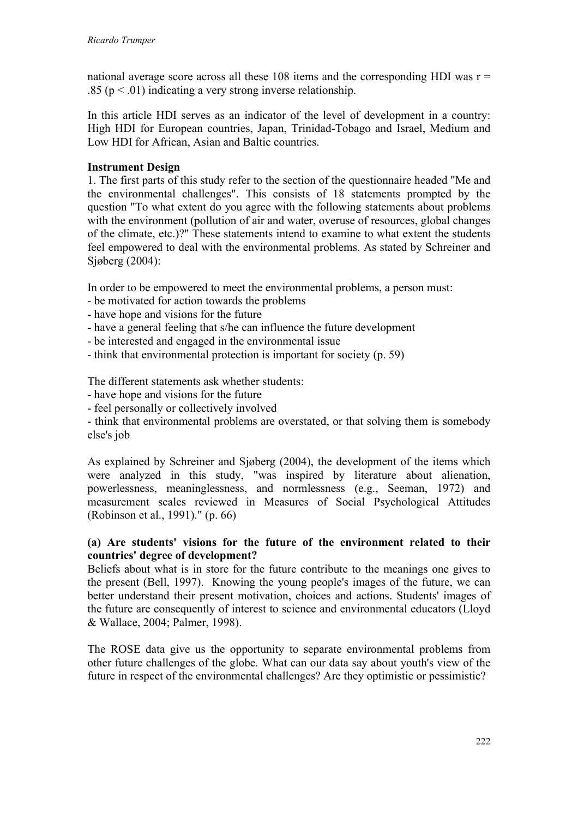national average score across all these 108 items and the corresponding HDI was  $r =$ .85 ( $p < .01$ ) indicating a very strong inverse relationship.

In this article HDI serves as an indicator of the level of development in a country: High HDI for European countries, Japan, Trinidad-Tobago and Israel, Medium and Low HDI for African, Asian and Baltic countries.

#### **Instrument Design**

1. The first parts of this study refer to the section of the questionnaire headed "Me and the environmental challenges". This consists of 18 statements prompted by the question "To what extent do you agree with the following statements about problems with the environment (pollution of air and water, overuse of resources, global changes of the climate, etc.)?" These statements intend to examine to what extent the students feel empowered to deal with the environmental problems. As stated by Schreiner and Sjøberg  $(2004)$ :

In order to be empowered to meet the environmental problems, a person must:

- be motivated for action towards the problems
- have hope and visions for the future
- have a general feeling that s/he can influence the future development
- be interested and engaged in the environmental issue
- think that environmental protection is important for society (p. 59)

The different statements ask whether students:

- have hope and visions for the future
- feel personally or collectively involved

- think that environmental problems are overstated, or that solving them is somebody else's job

As explained by Schreiner and Sjøberg (2004), the development of the items which were analyzed in this study, "was inspired by literature about alienation, powerlessness, meaninglessness, and normlessness (e.g., Seeman, 1972) and measurement scales reviewed in Measures of Social Psychological Attitudes (Robinson et al., 1991)." (p. 66)

#### **(a) Are students' visions for the future of the environment related to their countries' degree of development?**

Beliefs about what is in store for the future contribute to the meanings one gives to the present (Bell, 1997). Knowing the young people's images of the future, we can better understand their present motivation, choices and actions. Students' images of the future are consequently of interest to science and environmental educators (Lloyd & Wallace, 2004; Palmer, 1998).

The ROSE data give us the opportunity to separate environmental problems from other future challenges of the globe. What can our data say about youth's view of the future in respect of the environmental challenges? Are they optimistic or pessimistic?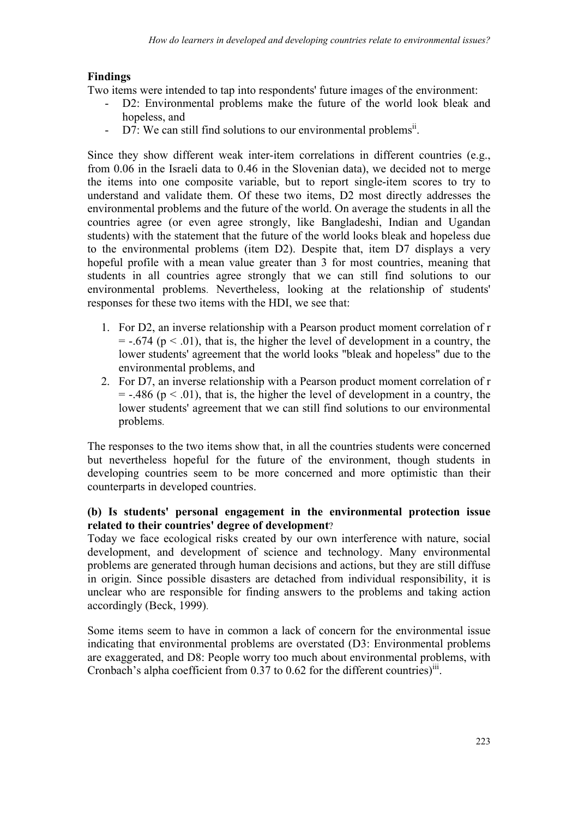# **Findings**

Two items were intended to tap into respondents' future images of the environment:

- D2: Environmental problems make the future of the world look bleak and hopeless, and
- $\overline{D7}$ : We can still find solutions to our environmental problems<sup>ii</sup>.

Since they show different weak inter-item correlations in different countries (e.g., from 0.06 in the Israeli data to 0.46 in the Slovenian data), we decided not to merge the items into one composite variable, but to report single-item scores to try to understand and validate them. Of these two items, D2 most directly addresses the environmental problems and the future of the world. On average the students in all the countries agree (or even agree strongly, like Bangladeshi, Indian and Ugandan students) with the statement that the future of the world looks bleak and hopeless due to the environmental problems (item D2). Despite that, item D7 displays a very hopeful profile with a mean value greater than 3 for most countries, meaning that students in all countries agree strongly that we can still find solutions to our environmental problems. Nevertheless, looking at the relationship of students' responses for these two items with the HDI, we see that:

- 1. For D2, an inverse relationship with a Pearson product moment correlation of r  $=$  -.674 (p  $\le$  .01), that is, the higher the level of development in a country, the lower students' agreement that the world looks "bleak and hopeless" due to the environmental problems, and
- 2. For D7, an inverse relationship with a Pearson product moment correlation of r  $= -.486$  ( $p < .01$ ), that is, the higher the level of development in a country, the lower students' agreement that we can still find solutions to our environmental problems.

The responses to the two items show that, in all the countries students were concerned but nevertheless hopeful for the future of the environment, though students in developing countries seem to be more concerned and more optimistic than their counterparts in developed countries.

### **(b) Is students' personal engagement in the environmental protection issue related to their countries' degree of development**?

Today we face ecological risks created by our own interference with nature, social development, and development of science and technology. Many environmental problems are generated through human decisions and actions, but they are still diffuse in origin. Since possible disasters are detached from individual responsibility, it is unclear who are responsible for finding answers to the problems and taking action accordingly (Beck, 1999).

Some items seem to have in common a lack of concern for the environmental issue indicating that environmental problems are overstated (D3: Environmental problems are exaggerated, and D8: People worry too much about environmental problems, with Cronbach's alpha coefficient from  $0.37$  to  $0.62$  for the different countries)<sup>iii</sup>.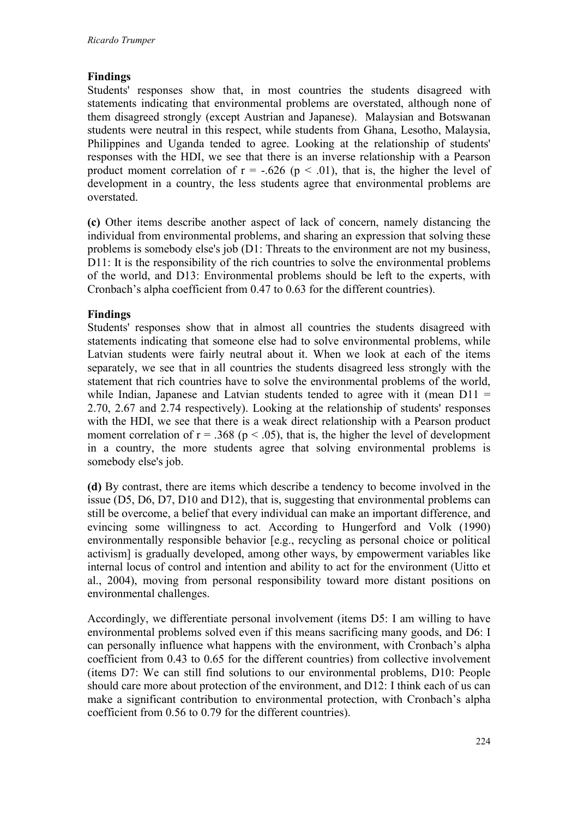# **Findings**

Students' responses show that, in most countries the students disagreed with statements indicating that environmental problems are overstated, although none of them disagreed strongly (except Austrian and Japanese). Malaysian and Botswanan students were neutral in this respect, while students from Ghana, Lesotho, Malaysia, Philippines and Uganda tended to agree. Looking at the relationship of students' responses with the HDI, we see that there is an inverse relationship with a Pearson product moment correlation of  $r = -.626$  ( $p < .01$ ), that is, the higher the level of development in a country, the less students agree that environmental problems are overstated.

**(c)** Other items describe another aspect of lack of concern, namely distancing the individual from environmental problems, and sharing an expression that solving these problems is somebody else's job (D1: Threats to the environment are not my business, D11: It is the responsibility of the rich countries to solve the environmental problems of the world, and D13: Environmental problems should be left to the experts, with Cronbach's alpha coefficient from 0.47 to 0.63 for the different countries).

### **Findings**

Students' responses show that in almost all countries the students disagreed with statements indicating that someone else had to solve environmental problems, while Latvian students were fairly neutral about it. When we look at each of the items separately, we see that in all countries the students disagreed less strongly with the statement that rich countries have to solve the environmental problems of the world, while Indian, Japanese and Latvian students tended to agree with it (mean  $D11 =$ 2.70, 2.67 and 2.74 respectively). Looking at the relationship of students' responses with the HDI, we see that there is a weak direct relationship with a Pearson product moment correlation of  $r = .368$  ( $p < .05$ ), that is, the higher the level of development in a country, the more students agree that solving environmental problems is somebody else's job.

**(d)** By contrast, there are items which describe a tendency to become involved in the issue (D5, D6, D7, D10 and D12), that is, suggesting that environmental problems can still be overcome, a belief that every individual can make an important difference, and evincing some willingness to act. According to Hungerford and Volk (1990) environmentally responsible behavior [e.g., recycling as personal choice or political activism] is gradually developed, among other ways, by empowerment variables like internal locus of control and intention and ability to act for the environment (Uitto et al., 2004), moving from personal responsibility toward more distant positions on environmental challenges.

Accordingly, we differentiate personal involvement (items D5: I am willing to have environmental problems solved even if this means sacrificing many goods, and D6: I can personally influence what happens with the environment, with Cronbach's alpha coefficient from 0.43 to 0.65 for the different countries) from collective involvement (items D7: We can still find solutions to our environmental problems, D10: People should care more about protection of the environment, and D12: I think each of us can make a significant contribution to environmental protection, with Cronbach's alpha coefficient from 0.56 to 0.79 for the different countries).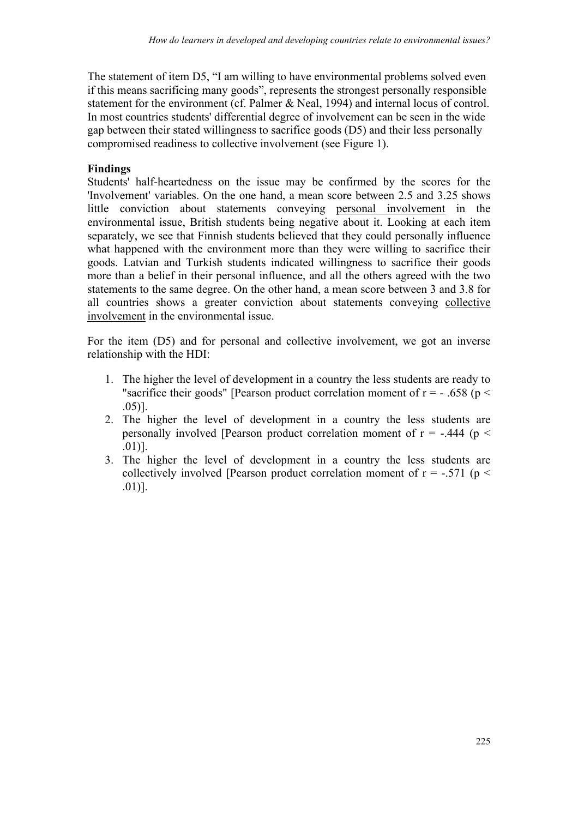The statement of item D5, "I am willing to have environmental problems solved even if this means sacrificing many goods", represents the strongest personally responsible statement for the environment (cf. Palmer & Neal, 1994) and internal locus of control. In most countries students' differential degree of involvement can be seen in the wide gap between their stated willingness to sacrifice goods (D5) and their less personally compromised readiness to collective involvement (see Figure 1).

# **Findings**

Students' half-heartedness on the issue may be confirmed by the scores for the 'Involvement' variables. On the one hand, a mean score between 2.5 and 3.25 shows little conviction about statements conveying personal involvement in the environmental issue, British students being negative about it. Looking at each item separately, we see that Finnish students believed that they could personally influence what happened with the environment more than they were willing to sacrifice their goods. Latvian and Turkish students indicated willingness to sacrifice their goods more than a belief in their personal influence, and all the others agreed with the two statements to the same degree. On the other hand, a mean score between 3 and 3.8 for all countries shows a greater conviction about statements conveying collective involvement in the environmental issue.

For the item (D5) and for personal and collective involvement, we got an inverse relationship with the HDI:

- 1. The higher the level of development in a country the less students are ready to "sacrifice their goods" [Pearson product correlation moment of  $r = -0.658$  ( $p <$ .05)].
- 2. The higher the level of development in a country the less students are personally involved [Pearson product correlation moment of  $r = -0.444$  (p < .01)].
- 3. The higher the level of development in a country the less students are collectively involved [Pearson product correlation moment of  $r = -.571$  ( $p <$ .01)].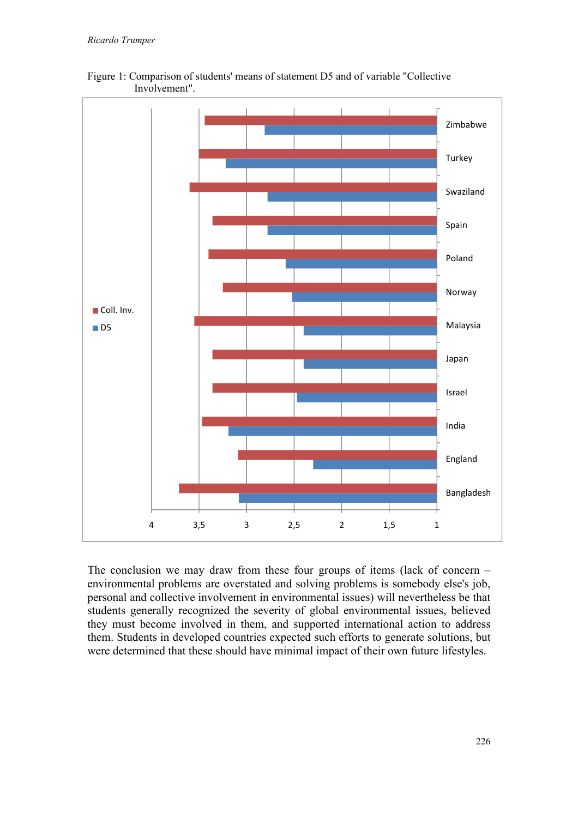

Figure 1: Comparison of students' means of statement D5 and of variable "Collective Involvement".

The conclusion we may draw from these four groups of items (lack of concern – environmental problems are overstated and solving problems is somebody else's job, personal and collective involvement in environmental issues) will nevertheless be that students generally recognized the severity of global environmental issues, believed they must become involved in them, and supported international action to address them. Students in developed countries expected such efforts to generate solutions, but were determined that these should have minimal impact of their own future lifestyles.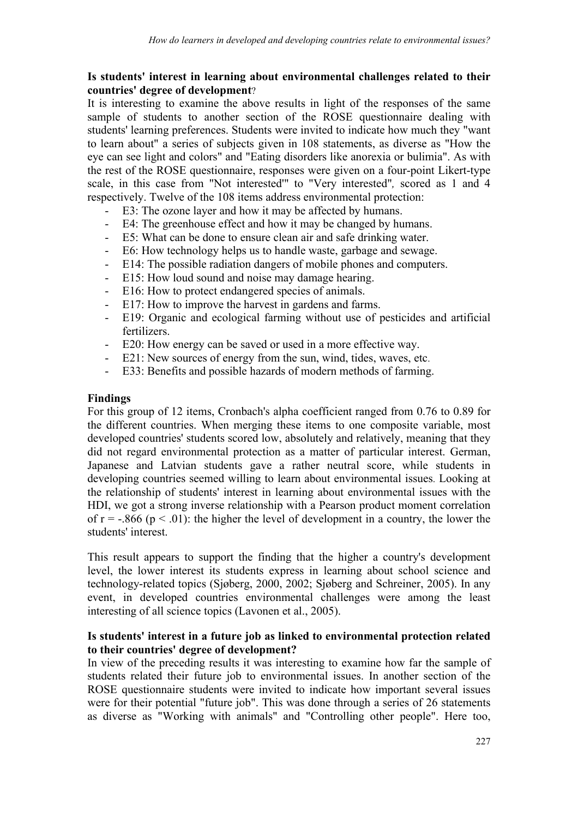### **Is students' interest in learning about environmental challenges related to their countries' degree of development**?

It is interesting to examine the above results in light of the responses of the same sample of students to another section of the ROSE questionnaire dealing with students' learning preferences. Students were invited to indicate how much they "want to learn about" a series of subjects given in 108 statements, as diverse as "How the eye can see light and colors" and "Eating disorders like anorexia or bulimia". As with the rest of the ROSE questionnaire, responses were given on a four-point Likert-type scale, in this case from "Not interested'" to "Very interested"*,* scored as 1 and 4 respectively. Twelve of the 108 items address environmental protection:

- E3: The ozone layer and how it may be affected by humans.
- E4: The greenhouse effect and how it may be changed by humans.
- E5: What can be done to ensure clean air and safe drinking water.
- E6: How technology helps us to handle waste, garbage and sewage.
- E14: The possible radiation dangers of mobile phones and computers.
- E15: How loud sound and noise may damage hearing.
- E16: How to protect endangered species of animals.
- E17: How to improve the harvest in gardens and farms.
- E19: Organic and ecological farming without use of pesticides and artificial fertilizers.
- E20: How energy can be saved or used in a more effective way.
- E21: New sources of energy from the sun, wind, tides, waves, etc.
- E33: Benefits and possible hazards of modern methods of farming.

#### **Findings**

For this group of 12 items, Cronbach's alpha coefficient ranged from 0.76 to 0.89 for the different countries. When merging these items to one composite variable, most developed countries' students scored low, absolutely and relatively, meaning that they did not regard environmental protection as a matter of particular interest. German, Japanese and Latvian students gave a rather neutral score, while students in developing countries seemed willing to learn about environmental issues. Looking at the relationship of students' interest in learning about environmental issues with the HDI, we got a strong inverse relationship with a Pearson product moment correlation of  $r = -0.866$  ( $p < 0.01$ ): the higher the level of development in a country, the lower the students' interest.

This result appears to support the finding that the higher a country's development level, the lower interest its students express in learning about school science and technology-related topics (Sjøberg, 2000, 2002; Sjøberg and Schreiner, 2005). In any event, in developed countries environmental challenges were among the least interesting of all science topics (Lavonen et al., 2005).

#### **Is students' interest in a future job as linked to environmental protection related to their countries' degree of development?**

In view of the preceding results it was interesting to examine how far the sample of students related their future job to environmental issues. In another section of the ROSE questionnaire students were invited to indicate how important several issues were for their potential "future job". This was done through a series of 26 statements as diverse as "Working with animals" and "Controlling other people". Here too,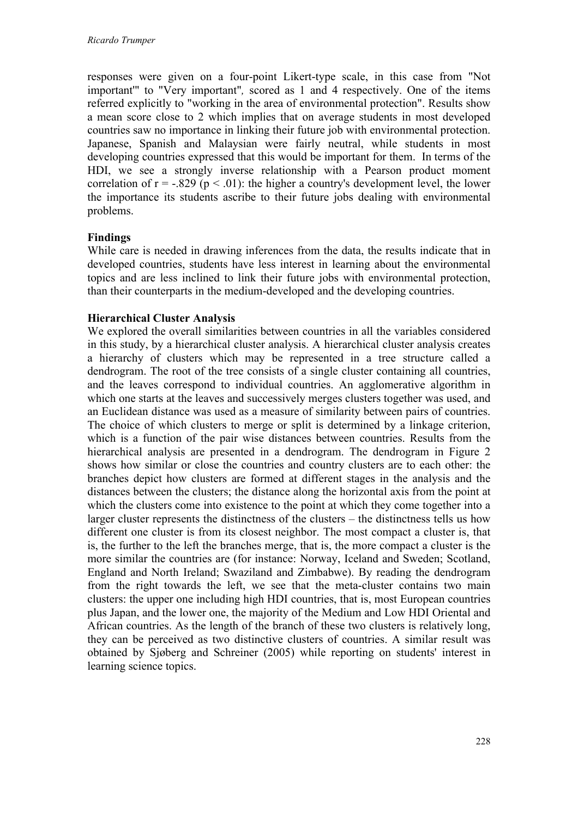responses were given on a four-point Likert-type scale, in this case from "Not important'" to "Very important"*,* scored as 1 and 4 respectively. One of the items referred explicitly to "working in the area of environmental protection". Results show a mean score close to 2 which implies that on average students in most developed countries saw no importance in linking their future job with environmental protection. Japanese, Spanish and Malaysian were fairly neutral, while students in most developing countries expressed that this would be important for them. In terms of the HDI, we see a strongly inverse relationship with a Pearson product moment correlation of  $r = -.829$  ( $p < .01$ ): the higher a country's development level, the lower the importance its students ascribe to their future jobs dealing with environmental problems.

#### **Findings**

While care is needed in drawing inferences from the data, the results indicate that in developed countries, students have less interest in learning about the environmental topics and are less inclined to link their future jobs with environmental protection, than their counterparts in the medium-developed and the developing countries.

#### **Hierarchical Cluster Analysis**

We explored the overall similarities between countries in all the variables considered in this study, by a hierarchical cluster analysis. A hierarchical cluster analysis creates a hierarchy of clusters which may be represented in a tree structure called a dendrogram. The root of the tree consists of a single cluster containing all countries, and the leaves correspond to individual countries. An agglomerative algorithm in which one starts at the leaves and successively merges clusters together was used, and an Euclidean distance was used as a measure of similarity between pairs of countries. The choice of which clusters to merge or split is determined by a linkage criterion, which is a function of the pair wise distances between countries. Results from the hierarchical analysis are presented in a dendrogram. The dendrogram in Figure 2 shows how similar or close the countries and country clusters are to each other: the branches depict how clusters are formed at different stages in the analysis and the distances between the clusters; the distance along the horizontal axis from the point at which the clusters come into existence to the point at which they come together into a larger cluster represents the distinctness of the clusters – the distinctness tells us how different one cluster is from its closest neighbor. The most compact a cluster is, that is, the further to the left the branches merge, that is, the more compact a cluster is the more similar the countries are (for instance: Norway, Iceland and Sweden; Scotland, England and North Ireland; Swaziland and Zimbabwe). By reading the dendrogram from the right towards the left, we see that the meta-cluster contains two main clusters: the upper one including high HDI countries, that is, most European countries plus Japan, and the lower one, the majority of the Medium and Low HDI Oriental and African countries. As the length of the branch of these two clusters is relatively long, they can be perceived as two distinctive clusters of countries. A similar result was obtained by Sjøberg and Schreiner (2005) while reporting on students' interest in learning science topics.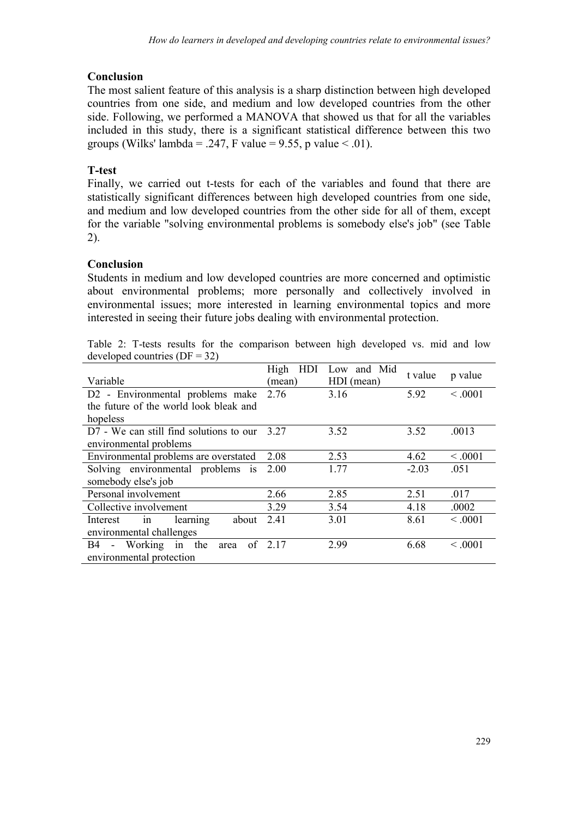# **Conclusion**

The most salient feature of this analysis is a sharp distinction between high developed countries from one side, and medium and low developed countries from the other side. Following, we performed a MANOVA that showed us that for all the variables included in this study, there is a significant statistical difference between this two groups (Wilks' lambda = .247, F value = 9.55, p value  $\le$  .01).

# **T-test**

Finally, we carried out t-tests for each of the variables and found that there are statistically significant differences between high developed countries from one side, and medium and low developed countries from the other side for all of them, except for the variable "solving environmental problems is somebody else's job" (see Table 2).

# **Conclusion**

Students in medium and low developed countries are more concerned and optimistic about environmental problems; more personally and collectively involved in environmental issues; more interested in learning environmental topics and more interested in seeing their future jobs dealing with environmental protection.

Table 2: T-tests results for the comparison between high developed vs. mid and low developed countries  $(DF = 32)$ 

|                                                  | High<br>HDI. | Low and Mid | t value |              |  |  |  |  |
|--------------------------------------------------|--------------|-------------|---------|--------------|--|--|--|--|
| Variable                                         | (mean)       | HDI (mean)  |         | p value      |  |  |  |  |
| D2 - Environmental problems make                 | 2.76         | 3.16        | 5.92    | $\leq 0.001$ |  |  |  |  |
| the future of the world look bleak and           |              |             |         |              |  |  |  |  |
| hopeless                                         |              |             |         |              |  |  |  |  |
| D7 - We can still find solutions to our          | 3.27         | 3.52        | 3.52    | .0013        |  |  |  |  |
| environmental problems                           |              |             |         |              |  |  |  |  |
| Environmental problems are overstated            | 2.08         | 2.53        | 4.62    | < 0.001      |  |  |  |  |
| Solving environmental problems is                | 2.00         | 1.77        | $-2.03$ | .051         |  |  |  |  |
| somebody else's job                              |              |             |         |              |  |  |  |  |
| Personal involvement                             | 2.66         | 2.85        | 2.51    | .017         |  |  |  |  |
| Collective involvement                           | 3.29         | 3.54        | 4.18    | .0002        |  |  |  |  |
| about<br>learning<br>Interest<br>in              | 2.41         | 3.01        | 8.61    | < 0.001      |  |  |  |  |
| environmental challenges                         |              |             |         |              |  |  |  |  |
| Working<br>the<br><b>B</b> 4<br>in<br>of<br>area | 2.17         | 2.99        | 6.68    | < 0.001      |  |  |  |  |
| environmental protection                         |              |             |         |              |  |  |  |  |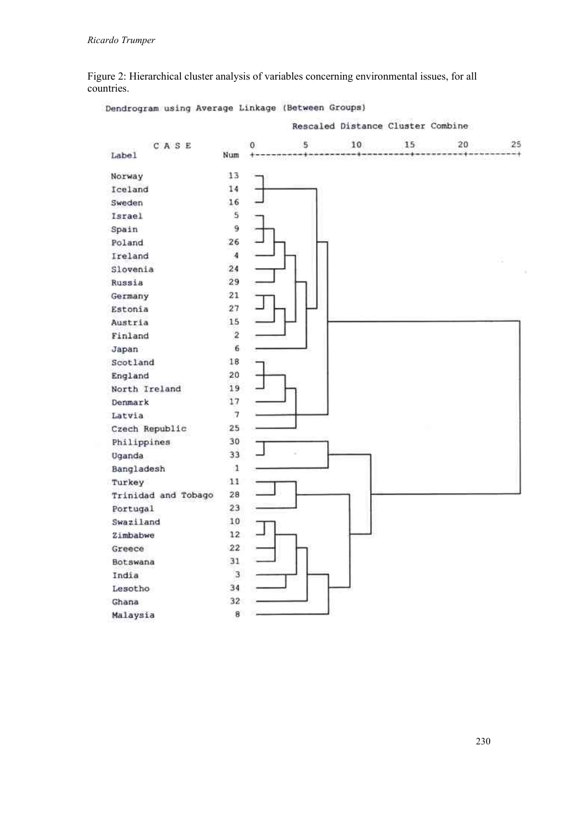Figure 2: Hierarchical cluster analysis of variables concerning environmental issues, for all countries.

Rescaled Distance Cluster Combine

 $\overline{\mathbf{5}}$  $20$ 25 CASE  $\overline{0}$ 10 15 Label Num  $-4$ ä.  $-1 13$ Norway 14 Iceland 16 Sweden  $\overline{\mathbf{5}}$ Israel 9 Spain 26 Poland  $\pmb{4}$ Ireland Slovenia  $24$  $^{29}$ Russia Germany  $21$  $27$ Estonia 15 Austria  $\overline{2}$ Finland  $\epsilon$ Japan 18 Scotland England 20  $19$ North Ireland  $17$ Denmark Latvia  $\overline{7}$ 25 Czech Republic 30 Philippines  $33$ Uganda  $\mathbf 1$ Bangladesh 11 Turkey Trinidad and Tobago 28 23 Portugal 10 Swaziland Zimbabwe  $12$  $22$ Greece 31 Botswana 3 India 34 Lesotho Ghana 32 8 Malaysia

Dendrogram using Average Linkage (Between Groups)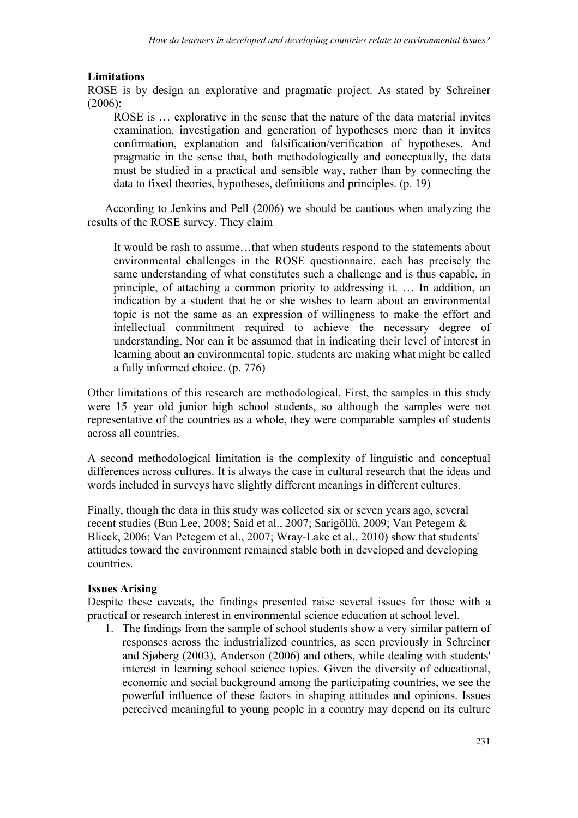#### **Limitations**

ROSE is by design an explorative and pragmatic project. As stated by Schreiner (2006):

ROSE is … explorative in the sense that the nature of the data material invites examination, investigation and generation of hypotheses more than it invites confirmation, explanation and falsification/verification of hypotheses. And pragmatic in the sense that, both methodologically and conceptually, the data must be studied in a practical and sensible way, rather than by connecting the data to fixed theories, hypotheses, definitions and principles. (p. 19)

According to Jenkins and Pell (2006) we should be cautious when analyzing the results of the ROSE survey. They claim

It would be rash to assume…that when students respond to the statements about environmental challenges in the ROSE questionnaire, each has precisely the same understanding of what constitutes such a challenge and is thus capable, in principle, of attaching a common priority to addressing it. … In addition, an indication by a student that he or she wishes to learn about an environmental topic is not the same as an expression of willingness to make the effort and intellectual commitment required to achieve the necessary degree of understanding. Nor can it be assumed that in indicating their level of interest in learning about an environmental topic, students are making what might be called a fully informed choice. (p. 776)

Other limitations of this research are methodological. First, the samples in this study were 15 year old junior high school students, so although the samples were not representative of the countries as a whole, they were comparable samples of students across all countries.

A second methodological limitation is the complexity of linguistic and conceptual differences across cultures. It is always the case in cultural research that the ideas and words included in surveys have slightly different meanings in different cultures.

Finally, though the data in this study was collected six or seven years ago, several recent studies (Bun Lee, 2008; Said et al., 2007; Sarigöllü, 2009; Van Petegem  $\&$ Blieck, 2006; Van Petegem et al., 2007; Wray-Lake et al., 2010) show that students' attitudes toward the environment remained stable both in developed and developing countries.

#### **Issues Arising**

Despite these caveats, the findings presented raise several issues for those with a practical or research interest in environmental science education at school level.

1. The findings from the sample of school students show a very similar pattern of responses across the industrialized countries, as seen previously in Schreiner and Sjøberg (2003), Anderson (2006) and others, while dealing with students' interest in learning school science topics. Given the diversity of educational, economic and social background among the participating countries, we see the powerful influence of these factors in shaping attitudes and opinions. Issues perceived meaningful to young people in a country may depend on its culture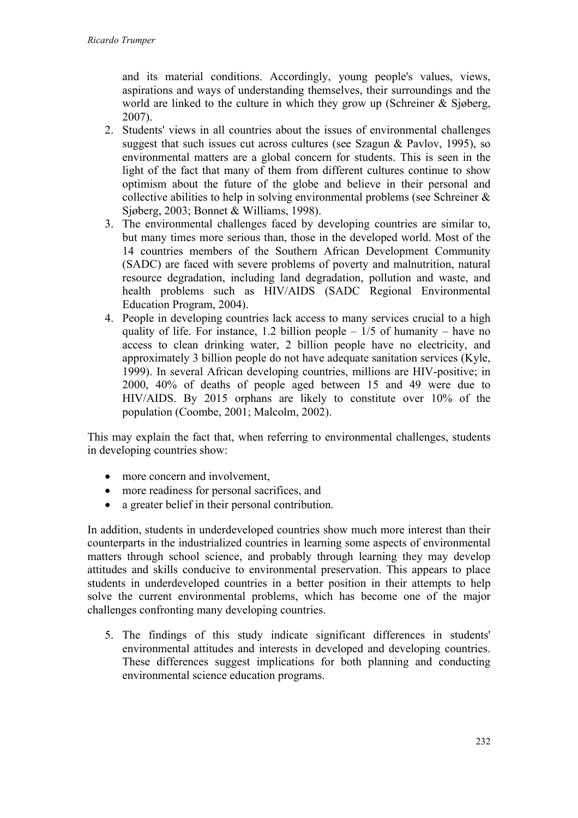and its material conditions. Accordingly, young people's values, views, aspirations and ways of understanding themselves, their surroundings and the world are linked to the culture in which they grow up (Schreiner  $\&$  Sigberg, 2007).

- 2. Students' views in all countries about the issues of environmental challenges suggest that such issues cut across cultures (see Szagun & Pavlov, 1995), so environmental matters are a global concern for students. This is seen in the light of the fact that many of them from different cultures continue to show optimism about the future of the globe and believe in their personal and collective abilities to help in solving environmental problems (see Schreiner & Siøberg, 2003; Bonnet & Williams, 1998).
- 3. The environmental challenges faced by developing countries are similar to, but many times more serious than, those in the developed world. Most of the 14 countries members of the Southern African Development Community (SADC) are faced with severe problems of poverty and malnutrition, natural resource degradation, including land degradation, pollution and waste, and health problems such as HIV/AIDS (SADC Regional Environmental Education Program, 2004).
- 4. People in developing countries lack access to many services crucial to a high quality of life. For instance, 1.2 billion people  $-1/5$  of humanity – have no access to clean drinking water, 2 billion people have no electricity, and approximately 3 billion people do not have adequate sanitation services (Kyle, 1999). In several African developing countries, millions are HIV-positive; in 2000, 40% of deaths of people aged between 15 and 49 were due to HIV/AIDS. By 2015 orphans are likely to constitute over 10% of the population (Coombe, 2001; Malcolm, 2002).

This may explain the fact that, when referring to environmental challenges, students in developing countries show:

- more concern and involvement,
- more readiness for personal sacrifices, and
- a greater belief in their personal contribution.

In addition, students in underdeveloped countries show much more interest than their counterparts in the industrialized countries in learning some aspects of environmental matters through school science, and probably through learning they may develop attitudes and skills conducive to environmental preservation. This appears to place students in underdeveloped countries in a better position in their attempts to help solve the current environmental problems, which has become one of the major challenges confronting many developing countries.

5. The findings of this study indicate significant differences in students' environmental attitudes and interests in developed and developing countries. These differences suggest implications for both planning and conducting environmental science education programs.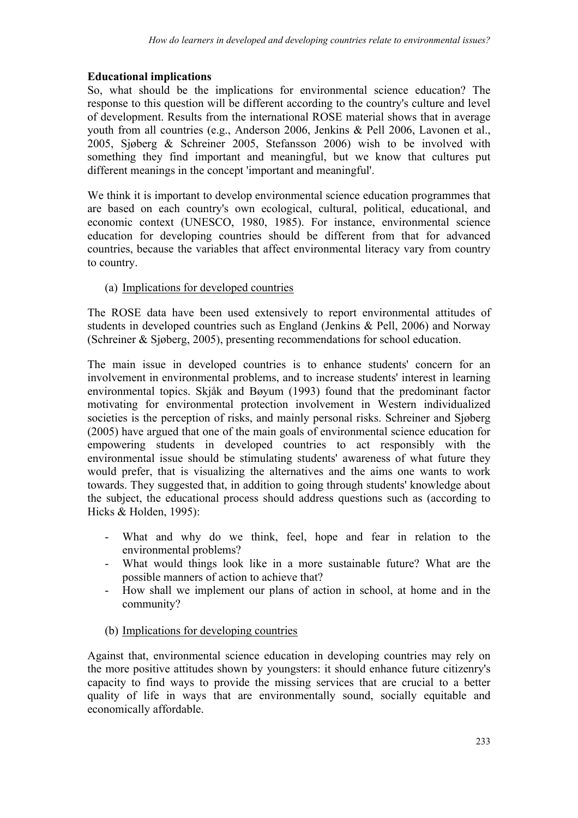# **Educational implications**

So, what should be the implications for environmental science education? The response to this question will be different according to the country's culture and level of development. Results from the international ROSE material shows that in average youth from all countries (e.g., Anderson 2006, Jenkins & Pell 2006, Lavonen et al., 2005, Sjøberg  $\&$  Schreiner 2005, Stefansson 2006) wish to be involved with something they find important and meaningful, but we know that cultures put different meanings in the concept 'important and meaningful'.

We think it is important to develop environmental science education programmes that are based on each country's own ecological, cultural, political, educational, and economic context (UNESCO, 1980, 1985). For instance, environmental science education for developing countries should be different from that for advanced countries, because the variables that affect environmental literacy vary from country to country.

# (a) Implications for developed countries

The ROSE data have been used extensively to report environmental attitudes of students in developed countries such as England (Jenkins & Pell, 2006) and Norway (Schreiner  $&$  Sjøberg, 2005), presenting recommendations for school education.

The main issue in developed countries is to enhance students' concern for an involvement in environmental problems, and to increase students' interest in learning environmental topics. Skjåk and Bøyum (1993) found that the predominant factor motivating for environmental protection involvement in Western individualized societies is the perception of risks, and mainly personal risks. Schreiner and Sjøberg (2005) have argued that one of the main goals of environmental science education for empowering students in developed countries to act responsibly with the environmental issue should be stimulating students' awareness of what future they would prefer, that is visualizing the alternatives and the aims one wants to work towards. They suggested that, in addition to going through students' knowledge about the subject, the educational process should address questions such as (according to Hicks & Holden, 1995):

- What and why do we think, feel, hope and fear in relation to the environmental problems?
- What would things look like in a more sustainable future? What are the possible manners of action to achieve that?
- How shall we implement our plans of action in school, at home and in the community?
- (b) Implications for developing countries

Against that, environmental science education in developing countries may rely on the more positive attitudes shown by youngsters: it should enhance future citizenry's capacity to find ways to provide the missing services that are crucial to a better quality of life in ways that are environmentally sound, socially equitable and economically affordable.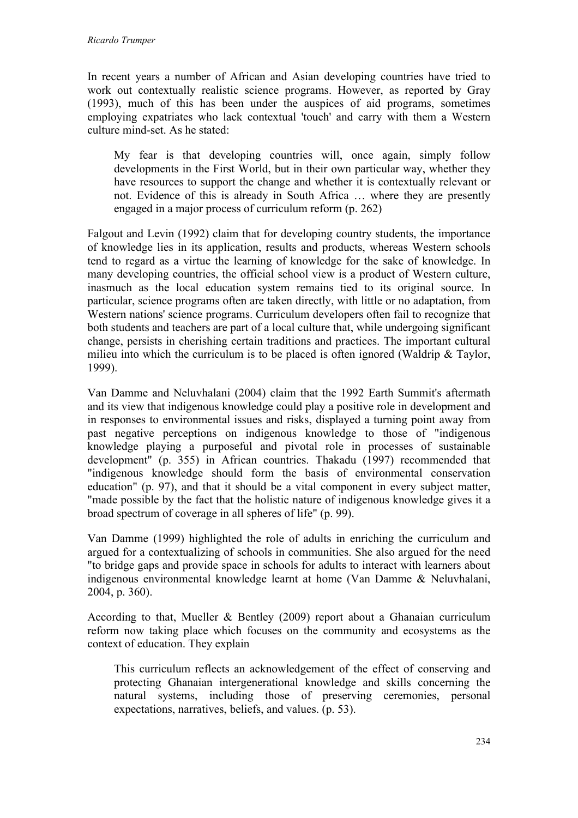In recent years a number of African and Asian developing countries have tried to work out contextually realistic science programs. However, as reported by Gray (1993), much of this has been under the auspices of aid programs, sometimes employing expatriates who lack contextual 'touch' and carry with them a Western culture mind-set. As he stated:

My fear is that developing countries will, once again, simply follow developments in the First World, but in their own particular way, whether they have resources to support the change and whether it is contextually relevant or not. Evidence of this is already in South Africa … where they are presently engaged in a major process of curriculum reform (p. 262)

Falgout and Levin (1992) claim that for developing country students, the importance of knowledge lies in its application, results and products, whereas Western schools tend to regard as a virtue the learning of knowledge for the sake of knowledge. In many developing countries, the official school view is a product of Western culture, inasmuch as the local education system remains tied to its original source. In particular, science programs often are taken directly, with little or no adaptation, from Western nations' science programs. Curriculum developers often fail to recognize that both students and teachers are part of a local culture that, while undergoing significant change, persists in cherishing certain traditions and practices. The important cultural milieu into which the curriculum is to be placed is often ignored (Waldrip & Taylor, 1999).

Van Damme and Neluvhalani (2004) claim that the 1992 Earth Summit's aftermath and its view that indigenous knowledge could play a positive role in development and in responses to environmental issues and risks, displayed a turning point away from past negative perceptions on indigenous knowledge to those of "indigenous knowledge playing a purposeful and pivotal role in processes of sustainable development" (p. 355) in African countries. Thakadu (1997) recommended that "indigenous knowledge should form the basis of environmental conservation education" (p. 97), and that it should be a vital component in every subject matter, "made possible by the fact that the holistic nature of indigenous knowledge gives it a broad spectrum of coverage in all spheres of life" (p. 99).

Van Damme (1999) highlighted the role of adults in enriching the curriculum and argued for a contextualizing of schools in communities. She also argued for the need "to bridge gaps and provide space in schools for adults to interact with learners about indigenous environmental knowledge learnt at home (Van Damme & Neluvhalani, 2004, p. 360).

According to that, Mueller & Bentley (2009) report about a Ghanaian curriculum reform now taking place which focuses on the community and ecosystems as the context of education. They explain

This curriculum reflects an acknowledgement of the effect of conserving and protecting Ghanaian intergenerational knowledge and skills concerning the natural systems, including those of preserving ceremonies, personal expectations, narratives, beliefs, and values. (p. 53).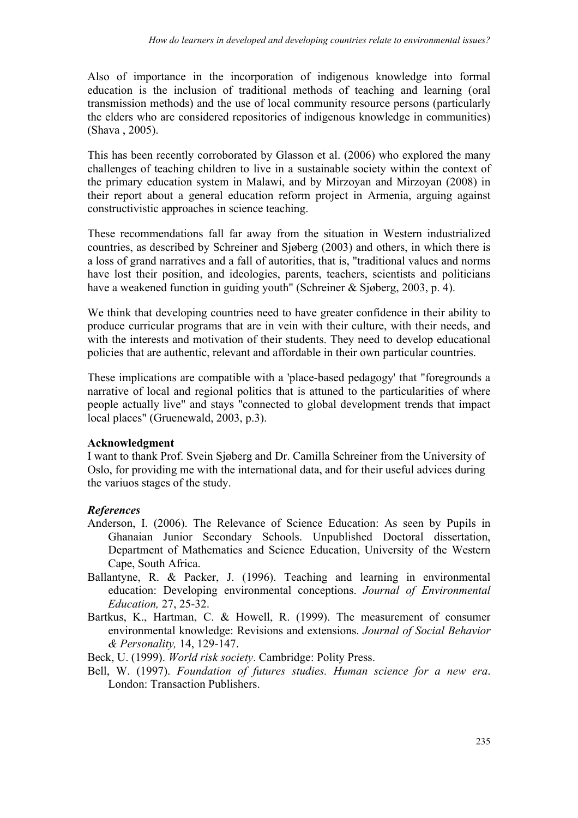Also of importance in the incorporation of indigenous knowledge into formal education is the inclusion of traditional methods of teaching and learning (oral transmission methods) and the use of local community resource persons (particularly the elders who are considered repositories of indigenous knowledge in communities) (Shava , 2005).

This has been recently corroborated by Glasson et al. (2006) who explored the many challenges of teaching children to live in a sustainable society within the context of the primary education system in Malawi, and by Mirzoyan and Mirzoyan (2008) in their report about a general education reform project in Armenia, arguing against constructivistic approaches in science teaching.

These recommendations fall far away from the situation in Western industrialized countries, as described by Schreiner and Sjøberg (2003) and others, in which there is a loss of grand narratives and a fall of autorities, that is, "traditional values and norms have lost their position, and ideologies, parents, teachers, scientists and politicians have a weakened function in guiding youth" (Schreiner  $&$  Sjøberg, 2003, p. 4).

We think that developing countries need to have greater confidence in their ability to produce curricular programs that are in vein with their culture, with their needs, and with the interests and motivation of their students. They need to develop educational policies that are authentic, relevant and affordable in their own particular countries.

These implications are compatible with a 'place-based pedagogy' that "foregrounds a narrative of local and regional politics that is attuned to the particularities of where people actually live" and stays "connected to global development trends that impact local places" (Gruenewald, 2003, p.3).

### **Acknowledgment**

I want to thank Prof. Svein Sigberg and Dr. Camilla Schreiner from the University of Oslo, for providing me with the international data, and for their useful advices during the variuos stages of the study.

### *References*

- Anderson, I. (2006). The Relevance of Science Education: As seen by Pupils in Ghanaian Junior Secondary Schools. Unpublished Doctoral dissertation, Department of Mathematics and Science Education, University of the Western Cape, South Africa.
- Ballantyne, R. & Packer, J. (1996). Teaching and learning in environmental education: Developing environmental conceptions. *Journal of Environmental Education,* 27, 25-32.
- Bartkus, K., Hartman, C. & Howell, R. (1999). The measurement of consumer environmental knowledge: Revisions and extensions. *Journal of Social Behavior & Personality,* 14, 129-147.
- Beck, U. (1999). *World risk society*. Cambridge: Polity Press.
- Bell, W. (1997). *Foundation of futures studies. Human science for a new era*. London: Transaction Publishers.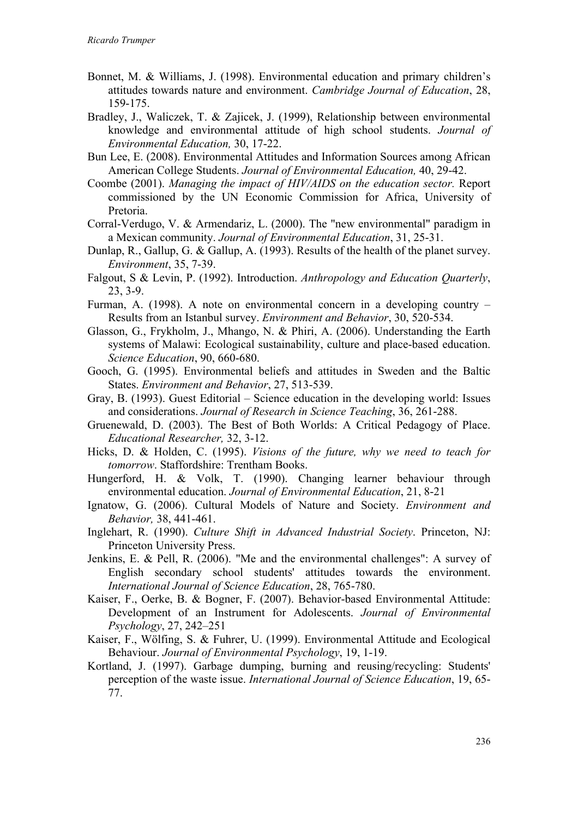- Bonnet, M. & Williams, J. (1998). Environmental education and primary children's attitudes towards nature and environment. *Cambridge Journal of Education*, 28, 159-175.
- Bradley, J., Waliczek, T. & Zajicek, J. (1999), Relationship between environmental knowledge and environmental attitude of high school students. *Journal of Environmental Education,* 30, 17-22.
- Bun Lee, E. (2008). Environmental Attitudes and Information Sources among African American College Students. *Journal of Environmental Education,* 40, 29-42.
- Coombe (2001). *Managing the impact of HIV/AIDS on the education sector.* Report commissioned by the UN Economic Commission for Africa, University of Pretoria.
- Corral-Verdugo, V. & Armendariz, L. (2000). The "new environmental" paradigm in a Mexican community. *Journal of Environmental Education*, 31, 25-31.
- Dunlap, R., Gallup, G. & Gallup, A. (1993). Results of the health of the planet survey. *Environment*, 35, 7-39.
- Falgout, S & Levin, P. (1992). Introduction. *Anthropology and Education Quarterly*, 23, 3-9.
- Furman, A. (1998). A note on environmental concern in a developing country Results from an Istanbul survey. *Environment and Behavior*, 30, 520-534.
- Glasson, G., Frykholm, J., Mhango, N. & Phiri, A. (2006). Understanding the Earth systems of Malawi: Ecological sustainability, culture and place-based education. *Science Education*, 90, 660-680.
- Gooch, G. (1995). Environmental beliefs and attitudes in Sweden and the Baltic States. *Environment and Behavior*, 27, 513-539.
- Gray, B. (1993). Guest Editorial Science education in the developing world: Issues and considerations. *Journal of Research in Science Teaching*, 36, 261-288.
- Gruenewald, D. (2003). The Best of Both Worlds: A Critical Pedagogy of Place. *Educational Researcher,* 32, 3-12.
- Hicks, D. & Holden, C. (1995). *Visions of the future, why we need to teach for tomorrow*. Staffordshire: Trentham Books.
- Hungerford, H. & Volk, T. (1990). Changing learner behaviour through environmental education. *Journal of Environmental Education*, 21, 8-21
- Ignatow, G. (2006). Cultural Models of Nature and Society. *Environment and Behavior,* 38, 441-461.
- Inglehart, R. (1990). *Culture Shift in Advanced Industrial Society*. Princeton, NJ: Princeton University Press.
- Jenkins, E. & Pell, R. (2006). "Me and the environmental challenges": A survey of English secondary school students' attitudes towards the environment. *International Journal of Science Education*, 28, 765-780.
- Kaiser, F., Oerke, B. & Bogner, F. (2007). Behavior-based Environmental Attitude: Development of an Instrument for Adolescents. *Journal of Environmental Psychology*, 27, 242–251
- Kaiser, F., Wölfing, S. & Fuhrer, U. (1999). Environmental Attitude and Ecological Behaviour. *Journal of Environmental Psychology*, 19, 1-19.
- Kortland, J. (1997). Garbage dumping, burning and reusing/recycling: Students' perception of the waste issue. *International Journal of Science Education*, 19, 65- 77.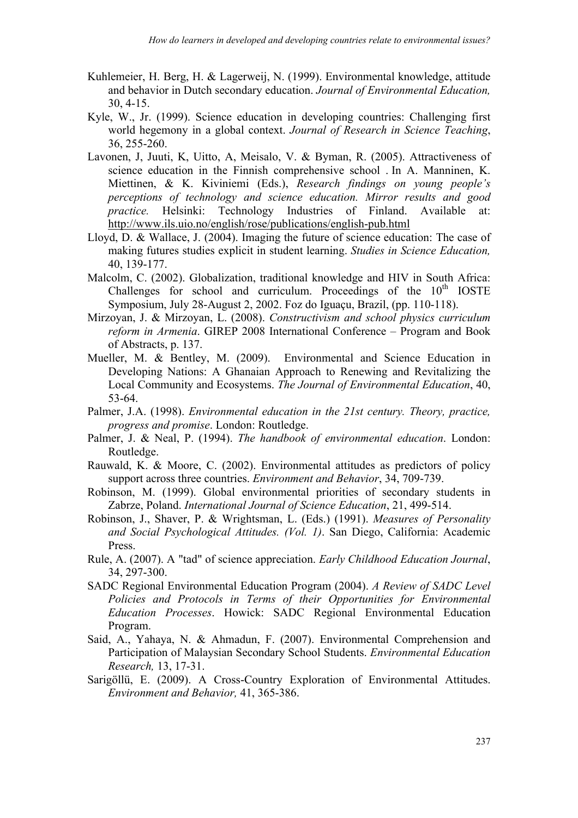- Kuhlemeier, H. Berg, H. & Lagerweij, N. (1999). Environmental knowledge, attitude and behavior in Dutch secondary education. *Journal of Environmental Education,*  30, 4-15.
- Kyle, W., Jr. (1999). Science education in developing countries: Challenging first world hegemony in a global context. *Journal of Research in Science Teaching*, 36, 255-260.
- Lavonen, J, Juuti, K, Uitto, A, Meisalo, V. & Byman, R. (2005). Attractiveness of science education in the Finnish comprehensive school . In A. Manninen, K. Miettinen, & K. Kiviniemi (Eds.), *Research findings on young people's perceptions of technology and science education. Mirror results and good practice.* Helsinki: Technology Industries of Finland. Available at: <http://www.ils.uio.no/english/rose/publications/english>-pub.html
- Lloyd, D. & Wallace, J. (2004). Imaging the future of science education: The case of making futures studies explicit in student learning. *Studies in Science Education,*  40, 139-177.
- Malcolm, C. (2002). Globalization, traditional knowledge and HIV in South Africa: Challenges for school and curriculum. Proceedings of the  $10<sup>th</sup>$  IOSTE Symposium, July 28-August 2, 2002. Foz do Iguaçu, Brazil, (pp. 110-118).
- Mirzoyan, J. & Mirzoyan, L. (2008). *Constructivism and school physics curriculum reform in Armenia*. GIREP 2008 International Conference – Program and Book of Abstracts, p. 137.
- Mueller, M. & Bentley, M. (2009). Environmental and Science Education in Developing Nations: A Ghanaian Approach to Renewing and Revitalizing the Local Community and Ecosystems. *The Journal of Environmental Education*, 40, 53-64.
- Palmer, J.A. (1998). *Environmental education in the 21st century. Theory, practice, progress and promise*. London: Routledge.
- Palmer, J. & Neal, P. (1994). *The handbook of environmental education*. London: Routledge.
- Rauwald, K. & Moore, C. (2002). Environmental attitudes as predictors of policy support across three countries. *Environment and Behavior*, 34, 709-739.
- Robinson, M. (1999). Global environmental priorities of secondary students in Zabrze, Poland. *International Journal of Science Education*, 21, 499-514.
- Robinson, J., Shaver, P. & Wrightsman, L. (Eds.) (1991). *Measures of Personality and Social Psychological Attitudes. (Vol. 1)*. San Diego, California: Academic Press.
- Rule, A. (2007). A "tad" of science appreciation. *Early Childhood Education Journal*, 34, 297-300.
- SADC Regional Environmental Education Program (2004). *A Review of SADC Level Policies and Protocols in Terms of their Opportunities for Environmental Education Processes*. Howick: SADC Regional Environmental Education Program.
- Said, A., Yahaya, N. & Ahmadun, F. (2007). Environmental Comprehension and Participation of Malaysian Secondary School Students. *Environmental Education Research,* 13, 17-31.
- Sarigöllü, E. (2009). A Cross-Country Exploration of Environmental Attitudes. *Environment and Behavior,* 41, 365-386.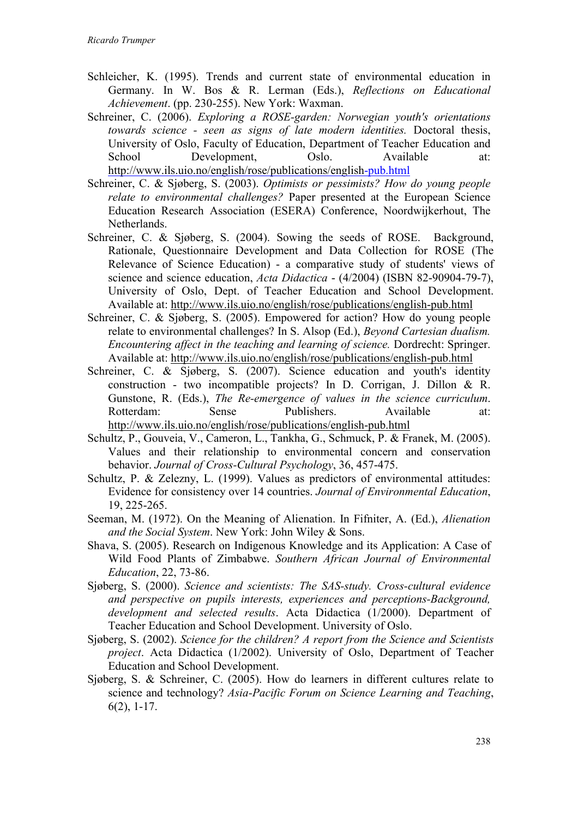- Schleicher, K. (1995). Trends and current state of environmental education in Germany. In W. Bos & R. Lerman (Eds.), *Reflections on Educational Achievement*. (pp. 230-255). New York: Waxman.
- Schreiner, C. (2006). *Exploring a ROSE-garden: Norwegian youth's orientations towards science - seen as signs of late modern identities.* Doctoral thesis, University of Oslo, Faculty of Education, Department of Teacher Education and School Development, Oslo. Available at: <http://www.ils.uio.no/english/rose/publications/english>-pub.html
- Schreiner, C. & Sjøberg, S. (2003). *Optimists or pessimists? How do young people relate to environmental challenges?* Paper presented at the European Science Education Research Association (ESERA) Conference, Noordwijkerhout, The Netherlands.
- Schreiner, C. & Sjøberg, S. (2004). Sowing the seeds of ROSE. Background, Rationale, Questionnaire Development and Data Collection for ROSE (The Relevance of Science Education) - a comparative study of students' views of science and science education, *Acta Didactica* - (4/2004) (ISBN 82-90904-79-7), University of Oslo, Dept. of Teacher Education and School Development. Available at: [http://www.ils.uio.no/english/rose/publications/english-](http://www.ils.uio.no/english/rose/publications/english)pub.html
- Schreiner, C. & Sjøberg, S. (2005). Empowered for action? How do young people relate to environmental challenges? In S. Alsop (Ed.), *Beyond Cartesian dualism. Encountering affect in the teaching and learning of science.* Dordrecht: Springer. Available at: [http://www.ils.uio.no/english/rose/publications/english-](http://www.ils.uio.no/english/rose/publications/english)pub.html
- Schreiner, C. & Sjøberg, S.  $(2007)$ . Science education and youth's identity construction - two incompatible projects? In D. Corrigan, J. Dillon & R. Gunstone, R. (Eds.), *The Re-emergence of values in the science curriculum*. Rotterdam: Sense Publishers. Available at: [http://www.ils.uio.no/englis](http://www.ils.uio.no/engli)h/rose/publications/english-pub.html
- Schultz, P., Gouveia, V., Cameron, L., Tankha, G., Schmuck, P. & Franek, M. (2005). Values and their relationship to environmental concern and conservation behavior. *Journal of Cross-Cultural Psychology*, 36, 457-475.
- Schultz, P. & Zelezny, L. (1999). Values as predictors of environmental attitudes: Evidence for consistency over 14 countries. *Journal of Environmental Education*, 19, 225-265.
- Seeman, M. (1972). On the Meaning of Alienation. In Fifniter, A. (Ed.), *Alienation and the Social System*. New York: John Wiley & Sons.
- Shava, S. (2005). Research on Indigenous Knowledge and its Application: A Case of Wild Food Plants of Zimbabwe. *Southern African Journal of Environmental Education*, 22, 73-86.
- Sigberg, S. (2000). *Science and scientists: The SAS-study. Cross-cultural evidence and perspective on pupils interests, experiences and perceptions-Background, development and selected results*. Acta Didactica (1/2000). Department of Teacher Education and School Development. University of Oslo.
- Sjøberg, S. (2002). *Science for the children? A report from the Science and Scientists project*. Acta Didactica (1/2002). University of Oslo, Department of Teacher Education and School Development.
- Sjøberg, S. & Schreiner, C. (2005). How do learners in different cultures relate to science and technology? *Asia-Pacific Forum on Science Learning and Teaching*, 6(2), 1-17.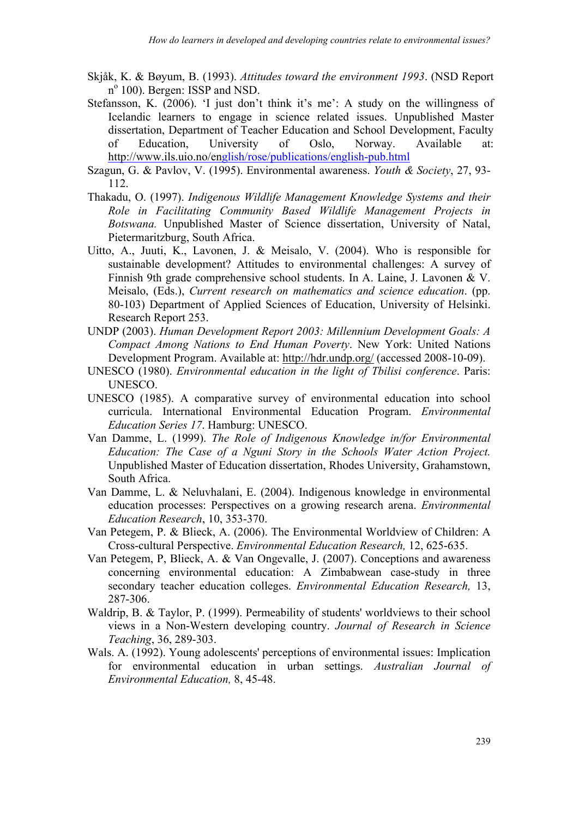- Skjàk, K. & BÇyum, B. (1993). *Attitudes toward the environment 1993*. (NSD Report n<sup>o</sup> 100). Bergen: ISSP and NSD.
- Stefansson, K. (2006). 'I just don't think it's me': A study on the willingness of Icelandic learners to engage in science related issues. Unpublished Master dissertation, Department of Teacher Education and School Development, Faculty of Education, University of Oslo, Norway. Available at: <http://www.ils.uio.no/en>glish/rose/publications/english-pub.html
- Szagun, G. & Pavlov, V. (1995). Environmental awareness. *Youth & Society*, 27, 93- 112.
- Thakadu, O. (1997). *Indigenous Wildlife Management Knowledge Systems and their Role in Facilitating Community Based Wildlife Management Projects in Botswana.* Unpublished Master of Science dissertation, University of Natal, Pietermaritzburg, South Africa.
- Uitto, A., Juuti, K., Lavonen, J. & Meisalo, V. (2004). Who is responsible for sustainable development? Attitudes to environmental challenges: A survey of Finnish 9th grade comprehensive school students. In A. Laine, J. Lavonen & V. Meisalo, (Eds.), *Current research on mathematics and science education*. (pp. 80-103) Department of Applied Sciences of Education, University of Helsinki. Research Report 253.
- UNDP (2003). *Human Development Report 2003: Millennium Development Goals: A Compact Among Nations to End Human Poverty*. New York: United Nations Development Program. Available at: [http://hdr.undp.org/](http://hdr.undp.org) (accessed 2008-10-09).
- UNESCO (1980). *Environmental education in the light of Tbilisi conference*. Paris: UNESCO.
- UNESCO (1985). A comparative survey of environmental education into school curricula. International Environmental Education Program. *Environmental Education Series 17*. Hamburg: UNESCO.
- Van Damme, L. (1999). *The Role of Indigenous Knowledge in/for Environmental Education: The Case of a Nguni Story in the Schools Water Action Project.* Unpublished Master of Education dissertation, Rhodes University, Grahamstown, South Africa.
- Van Damme, L. & Neluvhalani, E. (2004). Indigenous knowledge in environmental education processes: Perspectives on a growing research arena. *Environmental Education Research*, 10, 353-370.
- Van Petegem, P. & Blieck, A. (2006). The Environmental Worldview of Children: A Cross-cultural Perspective. *Environmental Education Research,* 12, 625-635.
- Van Petegem, P, Blieck, A. & Van Ongevalle, J. (2007). Conceptions and awareness concerning environmental education: A Zimbabwean case-study in three secondary teacher education colleges. *Environmental Education Research,* 13, 287-306.
- Waldrip, B. & Taylor, P. (1999). Permeability of students' worldviews to their school views in a Non-Western developing country. *Journal of Research in Science Teaching*, 36, 289-303.
- Wals. A. (1992). Young adolescents' perceptions of environmental issues: Implication for environmental education in urban settings. *Australian Journal of Environmental Education,* 8, 45-48.